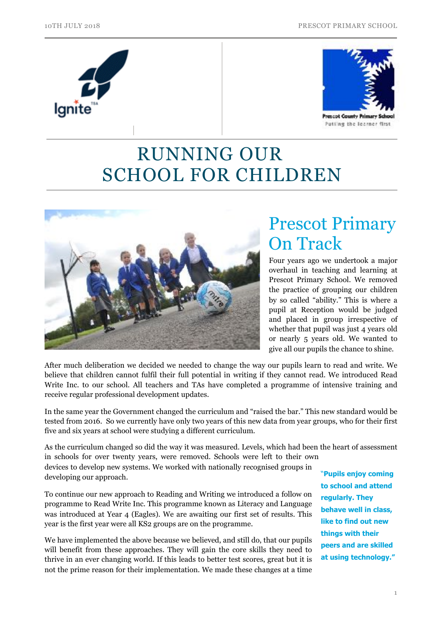



# RUNNING OUR SCHOOL FOR CHILDREN



# Prescot Primary On Track

Four years ago we undertook a major overhaul in teaching and learning at Prescot Primary School. We removed the practice of grouping our children by so called "ability." This is where a pupil at Reception would be judged and placed in group irrespective of whether that pupil was just 4 years old or nearly 5 years old. We wanted to give all our pupils the chance to shine.

After much deliberation we decided we needed to change the way our pupils learn to read and write. We believe that children cannot fulfil their full potential in writing if they cannot read. We introduced Read Write Inc. to our school. All teachers and TAs have completed a programme of intensive training and receive regular professional development updates.

In the same year the Government changed the curriculum and "raised the bar." This new standard would be tested from 2016. So we currently have only two years of this new data from year groups, who for their first five and six years at school were studying a different curriculum.

As the curriculum changed so did the way it was measured. Levels, which had been the heart of assessment in schools for over twenty years, were removed. Schools were left to their own

devices to develop new systems. We worked with nationally recognised groups in developing our approach.

To continue our new approach to Reading and Writing we introduced a follow on programme to Read Write Inc. This programme known as Literacy and Language was introduced at Year 4 (Eagles). We are awaiting our first set of results. This year is the first year were all KS2 groups are on the programme.

We have implemented the above because we believed, and still do, that our pupils will benefit from these approaches. They will gain the core skills they need to thrive in an ever changing world. If this leads to better test scores, great but it is not the prime reason for their implementation. We made these changes at a time

"**Pupils enjoy coming to school and attend regularly. They behave well in class, like to find out new things with their peers and are skilled at using technology."**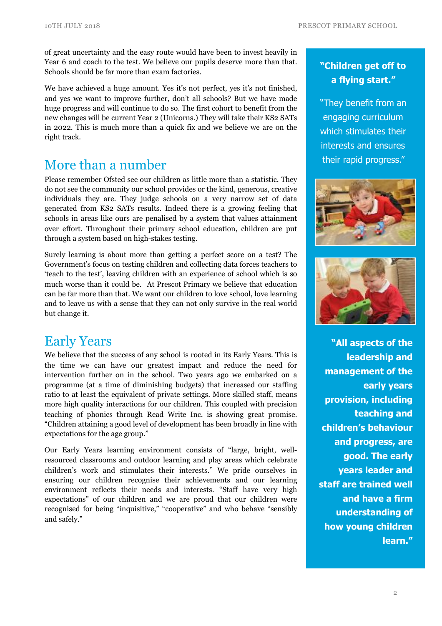of great uncertainty and the easy route would have been to invest heavily in Year 6 and coach to the test. We believe our pupils deserve more than that. Schools should be far more than exam factories.

We have achieved a huge amount. Yes it's not perfect, yes it's not finished, and yes we want to improve further, don't all schools? But we have made huge progress and will continue to do so. The first cohort to benefit from the new changes will be current Year 2 (Unicorns.) They will take their KS2 SATs in 2022. This is much more than a quick fix and we believe we are on the right track.

### More than a number

Please remember Ofsted see our children as little more than a statistic. They do not see the community our school provides or the kind, generous, creative individuals they are. They judge schools on a very narrow set of data generated from KS2 SATs results. Indeed there is a growing feeling that schools in areas like ours are penalised by a system that values attainment over effort. Throughout their primary school education, children are put through a system based on high-stakes testing.

Surely learning is about more than getting a perfect score on a test? The Government's focus on testing children and collecting data forces teachers to 'teach to the test', leaving children with an experience of school which is so much worse than it could be. At Prescot Primary we believe that education can be far more than that. We want our children to love school, love learning and to leave us with a sense that they can not only survive in the real world but change it.

### Early Years

We believe that the success of any school is rooted in its Early Years. This is the time we can have our greatest impact and reduce the need for intervention further on in the school. Two years ago we embarked on a programme (at a time of diminishing budgets) that increased our staffing ratio to at least the equivalent of private settings. More skilled staff, means more high quality interactions for our children. This coupled with precision teaching of phonics through Read Write Inc. is showing great promise. "Children attaining a good level of development has been broadly in line with expectations for the age group."

Our Early Years learning environment consists of "large, bright, wellresourced classrooms and outdoor learning and play areas which celebrate children's work and stimulates their interests." We pride ourselves in ensuring our children recognise their achievements and our learning environment reflects their needs and interests. "Staff have very high expectations" of our children and we are proud that our children were recognised for being "inquisitive," "cooperative" and who behave "sensibly and safely."

#### **"Children get off to a flying start."**

"They benefit from an engaging curriculum which stimulates their interests and ensures their rapid progress."





**"All aspects of the leadership and management of the early years provision, including teaching and children's behaviour and progress, are good. The early years leader and staff are trained well and have a firm understanding of how young children learn."**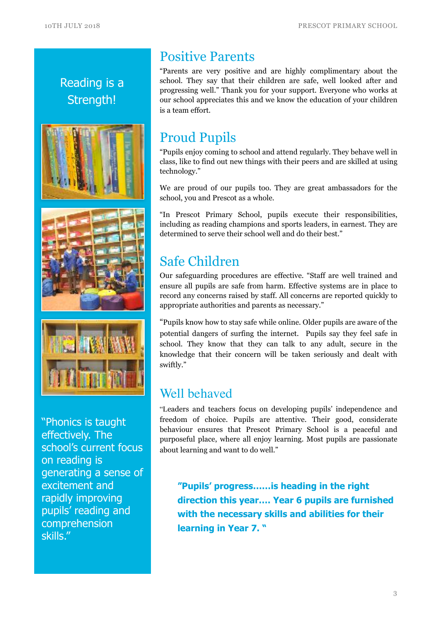







"Phonics is taught effectively. The school's current focus on reading is generating a sense of excitement and rapidly improving pupils' reading and comprehension skills."

## Positive Parents

"Parents are very positive and are highly complimentary about the school. They say that their children are safe, well looked after and progressing well." Thank you for your support. Everyone who works at our school appreciates this and we know the education of your children is a team effort.

## Proud Pupils

"Pupils enjoy coming to school and attend regularly. They behave well in class, like to find out new things with their peers and are skilled at using technology."

We are proud of our pupils too. They are great ambassadors for the school, you and Prescot as a whole.

"In Prescot Primary School, pupils execute their responsibilities, including as reading champions and sports leaders, in earnest. They are determined to serve their school well and do their best."

# Safe Children

Our safeguarding procedures are effective. "Staff are well trained and ensure all pupils are safe from harm. Effective systems are in place to record any concerns raised by staff. All concerns are reported quickly to appropriate authorities and parents as necessary."

"Pupils know how to stay safe while online. Older pupils are aware of the potential dangers of surfing the internet. Pupils say they feel safe in school. They know that they can talk to any adult, secure in the knowledge that their concern will be taken seriously and dealt with swiftly."

### Well behaved

"Leaders and teachers focus on developing pupils' independence and freedom of choice. Pupils are attentive. Their good, considerate behaviour ensures that Prescot Primary School is a peaceful and purposeful place, where all enjoy learning. Most pupils are passionate about learning and want to do well."

**"Pupils' progress……is heading in the right direction this year…. Year 6 pupils are furnished with the necessary skills and abilities for their learning in Year 7. "**